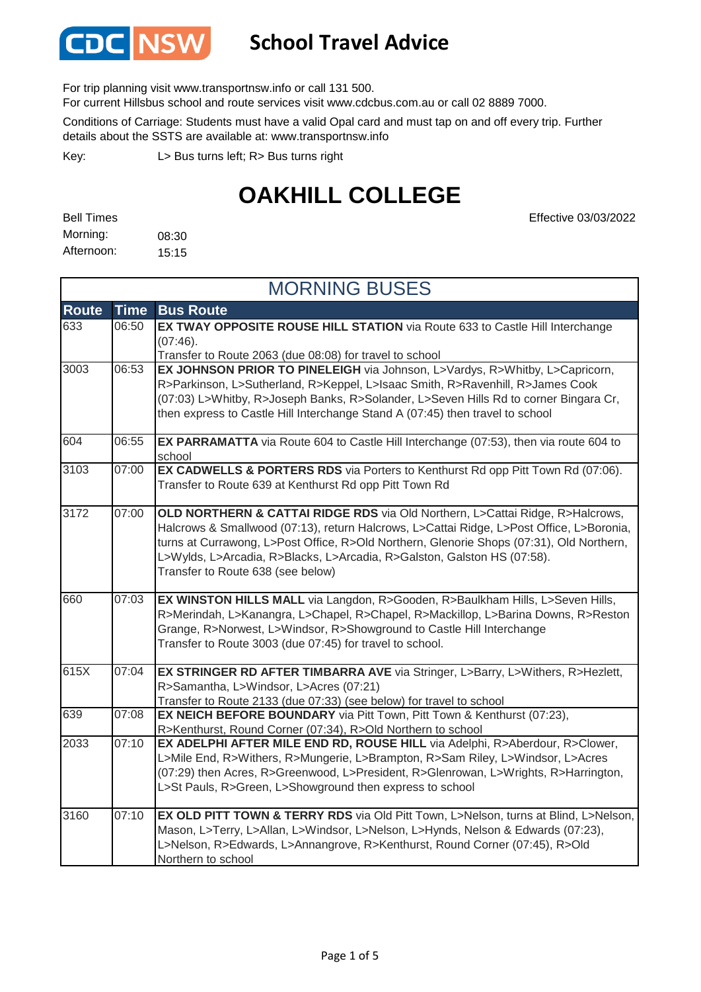

#### **School Travel Advice**

For trip planning visit www.transportnsw.info or call 131 500.

For current Hillsbus school and route services visit www.cdcbus.com.au or call 02 8889 7000.

Conditions of Carriage: Students must have a valid Opal card and must tap on and off every trip. Further details about the SSTS are available at: www.transportnsw.info

L> Bus turns left; R> Bus turns right Key:

## **OAKHILL COLLEGE**

Effective 03/03/2022

08:30 15:15 Bell Times Morning: Afternoon:

|              | <b>MORNING BUSES</b> |                                                                                                                                                                                                                                                                                                                                                                                       |  |
|--------------|----------------------|---------------------------------------------------------------------------------------------------------------------------------------------------------------------------------------------------------------------------------------------------------------------------------------------------------------------------------------------------------------------------------------|--|
| <b>Route</b> | <b>Time</b>          | <b>Bus Route</b>                                                                                                                                                                                                                                                                                                                                                                      |  |
| 633          | 06:50                | EX TWAY OPPOSITE ROUSE HILL STATION via Route 633 to Castle Hill Interchange<br>(07:46).<br>Transfer to Route 2063 (due 08:08) for travel to school                                                                                                                                                                                                                                   |  |
| 3003         | 06:53                | EX JOHNSON PRIOR TO PINELEIGH via Johnson, L>Vardys, R>Whitby, L>Capricorn,<br>R>Parkinson, L>Sutherland, R>Keppel, L>Isaac Smith, R>Ravenhill, R>James Cook<br>(07:03) L>Whitby, R>Joseph Banks, R>Solander, L>Seven Hills Rd to corner Bingara Cr,<br>then express to Castle Hill Interchange Stand A (07:45) then travel to school                                                 |  |
| 604          | 06:55                | <b>EX PARRAMATTA</b> via Route 604 to Castle Hill Interchange (07:53), then via route 604 to<br>school                                                                                                                                                                                                                                                                                |  |
| 3103         | 07:00                | <b>EX CADWELLS &amp; PORTERS RDS</b> via Porters to Kenthurst Rd opp Pitt Town Rd (07:06).<br>Transfer to Route 639 at Kenthurst Rd opp Pitt Town Rd                                                                                                                                                                                                                                  |  |
| 3172         | 07:00                | OLD NORTHERN & CATTAI RIDGE RDS via Old Northern, L>Cattai Ridge, R>Halcrows,<br>Halcrows & Smallwood (07:13), return Halcrows, L>Cattai Ridge, L>Post Office, L>Boronia,<br>turns at Currawong, L>Post Office, R>Old Northern, Glenorie Shops (07:31), Old Northern,<br>L>Wylds, L>Arcadia, R>Blacks, L>Arcadia, R>Galston, Galston HS (07:58).<br>Transfer to Route 638 (see below) |  |
| 660          | 07:03                | EX WINSTON HILLS MALL via Langdon, R>Gooden, R>Baulkham Hills, L>Seven Hills,<br>R>Merindah, L>Kanangra, L>Chapel, R>Chapel, R>Mackillop, L>Barina Downs, R>Reston<br>Grange, R>Norwest, L>Windsor, R>Showground to Castle Hill Interchange<br>Transfer to Route 3003 (due 07:45) for travel to school.                                                                               |  |
| 615X         | 07:04                | EX STRINGER RD AFTER TIMBARRA AVE via Stringer, L>Barry, L>Withers, R>Hezlett,<br>R>Samantha, L>Windsor, L>Acres (07:21)<br>Transfer to Route 2133 (due 07:33) (see below) for travel to school                                                                                                                                                                                       |  |
| 639          | 07:08                | EX NEICH BEFORE BOUNDARY via Pitt Town, Pitt Town & Kenthurst (07:23),<br>R>Kenthurst, Round Corner (07:34), R>Old Northern to school                                                                                                                                                                                                                                                 |  |
| 2033         | 07:10                | EX ADELPHI AFTER MILE END RD, ROUSE HILL via Adelphi, R>Aberdour, R>Clower,<br>L>Mile End, R>Withers, R>Mungerie, L>Brampton, R>Sam Riley, L>Windsor, L>Acres<br>(07:29) then Acres, R>Greenwood, L>President, R>Glenrowan, L>Wrights, R>Harrington,<br>L>St Pauls, R>Green, L>Showground then express to school                                                                      |  |
| 3160         | 07:10                | EX OLD PITT TOWN & TERRY RDS via Old Pitt Town, L>Nelson, turns at Blind, L>Nelson,<br>Mason, L>Terry, L>Allan, L>Windsor, L>Nelson, L>Hynds, Nelson & Edwards (07:23),<br>L>Nelson, R>Edwards, L>Annangrove, R>Kenthurst, Round Corner (07:45), R>Old<br>Northern to school                                                                                                          |  |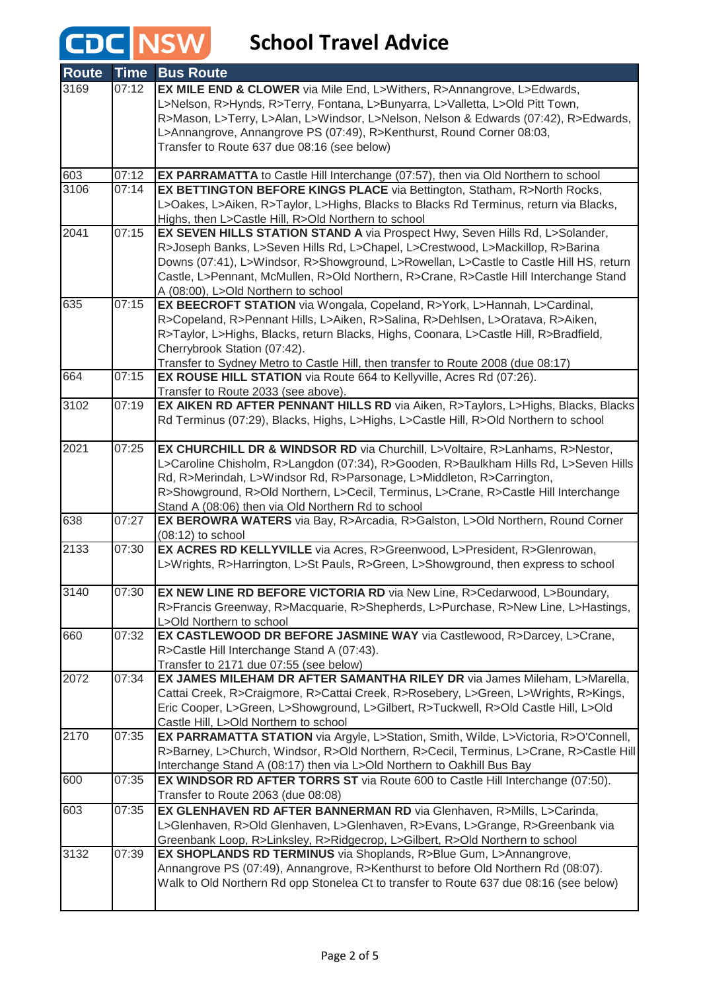# **CDC** NSW School Travel Advice

| <b>Route</b> | <b>Time</b> | <b>Bus Route</b>                                                                                                        |
|--------------|-------------|-------------------------------------------------------------------------------------------------------------------------|
| 3169         | 07:12       | EX MILE END & CLOWER via Mile End, L>Withers, R>Annangrove, L>Edwards,                                                  |
|              |             | L>Nelson, R>Hynds, R>Terry, Fontana, L>Bunyarra, L>Valletta, L>Old Pitt Town,                                           |
|              |             | R>Mason, L>Terry, L>Alan, L>Windsor, L>Nelson, Nelson & Edwards (07:42), R>Edwards,                                     |
|              |             | L>Annangrove, Annangrove PS (07:49), R>Kenthurst, Round Corner 08:03,                                                   |
|              |             | Transfer to Route 637 due 08:16 (see below)                                                                             |
| 603          | 07:12       | <b>EX PARRAMATTA</b> to Castle Hill Interchange (07:57), then via Old Northern to school                                |
| 3106         | 07:14       | EX BETTINGTON BEFORE KINGS PLACE via Bettington, Statham, R>North Rocks,                                                |
|              |             | L>Oakes, L>Aiken, R>Taylor, L>Highs, Blacks to Blacks Rd Terminus, return via Blacks,                                   |
|              |             | Highs, then L>Castle Hill, R>Old Northern to school                                                                     |
| 2041         | 07:15       | EX SEVEN HILLS STATION STAND A via Prospect Hwy, Seven Hills Rd, L>Solander,                                            |
|              |             | R>Joseph Banks, L>Seven Hills Rd, L>Chapel, L>Crestwood, L>Mackillop, R>Barina                                          |
|              |             | Downs (07:41), L>Windsor, R>Showground, L>Rowellan, L>Castle to Castle Hill HS, return                                  |
|              |             | Castle, L>Pennant, McMullen, R>Old Northern, R>Crane, R>Castle Hill Interchange Stand                                   |
|              |             | A (08:00), L>Old Northern to school                                                                                     |
| 635          | 07:15       | EX BEECROFT STATION via Wongala, Copeland, R>York, L>Hannah, L>Cardinal,                                                |
|              |             | R>Copeland, R>Pennant Hills, L>Aiken, R>Salina, R>Dehlsen, L>Oratava, R>Aiken,                                          |
|              |             | R>Taylor, L>Highs, Blacks, return Blacks, Highs, Coonara, L>Castle Hill, R>Bradfield,                                   |
|              |             | Cherrybrook Station (07:42).                                                                                            |
|              | 07:15       | Transfer to Sydney Metro to Castle Hill, then transfer to Route 2008 (due 08:17)                                        |
| 664          |             | EX ROUSE HILL STATION via Route 664 to Kellyville, Acres Rd (07:26).                                                    |
| 3102         | 07:19       | Transfer to Route 2033 (see above).<br>EX AIKEN RD AFTER PENNANT HILLS RD via Aiken, R>Taylors, L>Highs, Blacks, Blacks |
|              |             | Rd Terminus (07:29), Blacks, Highs, L>Highs, L>Castle Hill, R>Old Northern to school                                    |
|              |             |                                                                                                                         |
| 2021         | 07:25       | EX CHURCHILL DR & WINDSOR RD via Churchill, L>Voltaire, R>Lanhams, R>Nestor,                                            |
|              |             | L>Caroline Chisholm, R>Langdon (07:34), R>Gooden, R>Baulkham Hills Rd, L>Seven Hills                                    |
|              |             | Rd, R>Merindah, L>Windsor Rd, R>Parsonage, L>Middleton, R>Carrington,                                                   |
|              |             | R>Showground, R>Old Northern, L>Cecil, Terminus, L>Crane, R>Castle Hill Interchange                                     |
|              |             | Stand A (08:06) then via Old Northern Rd to school                                                                      |
| 638          | 07:27       | EX BEROWRA WATERS via Bay, R>Arcadia, R>Galston, L>Old Northern, Round Corner                                           |
|              |             | $(08:12)$ to school                                                                                                     |
| 2133         | 07:30       | EX ACRES RD KELLYVILLE via Acres, R>Greenwood, L>President, R>Glenrowan,                                                |
|              |             | L>Wrights, R>Harrington, L>St Pauls, R>Green, L>Showground, then express to school                                      |
|              |             |                                                                                                                         |
| 3140         | 07:30       | EX NEW LINE RD BEFORE VICTORIA RD via New Line, R>Cedarwood, L>Boundary,                                                |
|              |             | R>Francis Greenway, R>Macquarie, R>Shepherds, L>Purchase, R>New Line, L>Hastings,                                       |
|              | 07:32       | L>Old Northern to school                                                                                                |
| 660          |             | EX CASTLEWOOD DR BEFORE JASMINE WAY via Castlewood, R>Darcey, L>Crane,                                                  |
|              |             | R>Castle Hill Interchange Stand A (07:43).                                                                              |
| 2072         | 07:34       | Transfer to 2171 due 07:55 (see below)<br>EX JAMES MILEHAM DR AFTER SAMANTHA RILEY DR via James Mileham, L>Marella,     |
|              |             | Cattai Creek, R>Craigmore, R>Cattai Creek, R>Rosebery, L>Green, L>Wrights, R>Kings,                                     |
|              |             | Eric Cooper, L>Green, L>Showground, L>Gilbert, R>Tuckwell, R>Old Castle Hill, L>Old                                     |
|              |             | Castle Hill, L>Old Northern to school                                                                                   |
| 2170         | 07:35       | EX PARRAMATTA STATION via Argyle, L>Station, Smith, Wilde, L>Victoria, R>O'Connell,                                     |
|              |             | R>Barney, L>Church, Windsor, R>Old Northern, R>Cecil, Terminus, L>Crane, R>Castle Hill                                  |
|              |             | Interchange Stand A (08:17) then via L>Old Northern to Oakhill Bus Bay                                                  |
| 600          | 07:35       | <b>EX WINDSOR RD AFTER TORRS ST</b> via Route 600 to Castle Hill Interchange (07:50).                                   |
|              |             | Transfer to Route 2063 (due 08:08)                                                                                      |
| 603          | 07:35       | EX GLENHAVEN RD AFTER BANNERMAN RD via Glenhaven, R>Mills, L>Carinda,                                                   |
|              |             | L>Glenhaven, R>Old Glenhaven, L>Glenhaven, R>Evans, L>Grange, R>Greenbank via                                           |
|              |             | Greenbank Loop, R>Linksley, R>Ridgecrop, L>Gilbert, R>Old Northern to school                                            |
| 3132         | 07:39       | EX SHOPLANDS RD TERMINUS via Shoplands, R>Blue Gum, L>Annangrove,                                                       |
|              |             | Annangrove PS (07:49), Annangrove, R>Kenthurst to before Old Northern Rd (08:07).                                       |
|              |             | Walk to Old Northern Rd opp Stonelea Ct to transfer to Route 637 due 08:16 (see below)                                  |
|              |             |                                                                                                                         |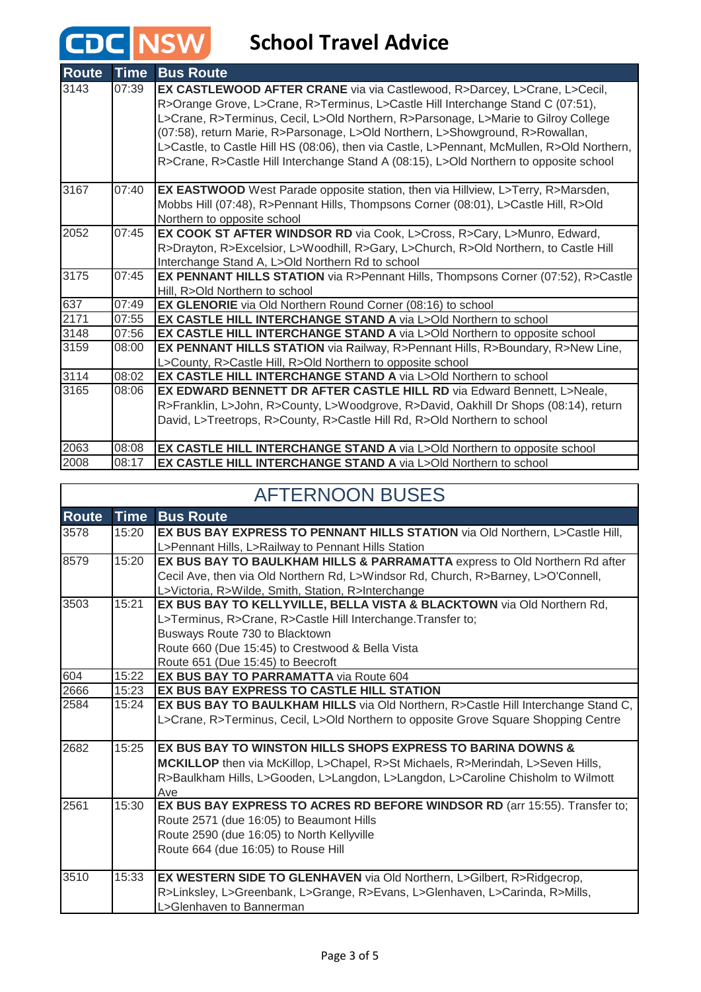## **CDC** NSW School Travel Advice

| <b>Route</b> | <b>Time</b> | <b>Bus Route</b>                                                                                                                                                                                                                                                                                                                                                                                                                                                                                                           |
|--------------|-------------|----------------------------------------------------------------------------------------------------------------------------------------------------------------------------------------------------------------------------------------------------------------------------------------------------------------------------------------------------------------------------------------------------------------------------------------------------------------------------------------------------------------------------|
| 3143         | 07:39       | EX CASTLEWOOD AFTER CRANE via via Castlewood, R>Darcey, L>Crane, L>Cecil,<br>R>Orange Grove, L>Crane, R>Terminus, L>Castle Hill Interchange Stand C (07:51),<br>L>Crane, R>Terminus, Cecil, L>Old Northern, R>Parsonage, L>Marie to Gilroy College<br>(07:58), return Marie, R>Parsonage, L>Old Northern, L>Showground, R>Rowallan,<br>L>Castle, to Castle Hill HS (08:06), then via Castle, L>Pennant, McMullen, R>Old Northern,<br>R>Crane, R>Castle Hill Interchange Stand A (08:15), L>Old Northern to opposite school |
| 3167         | 07:40       | EX EASTWOOD West Parade opposite station, then via Hillview, L>Terry, R>Marsden,<br>Mobbs Hill (07:48), R>Pennant Hills, Thompsons Corner (08:01), L>Castle Hill, R>Old<br>Northern to opposite school                                                                                                                                                                                                                                                                                                                     |
| 2052         | 07:45       | EX COOK ST AFTER WINDSOR RD via Cook, L>Cross, R>Cary, L>Munro, Edward,<br>R>Drayton, R>Excelsior, L>Woodhill, R>Gary, L>Church, R>Old Northern, to Castle Hill<br>Interchange Stand A, L>Old Northern Rd to school                                                                                                                                                                                                                                                                                                        |
| 3175         | 07:45       | EX PENNANT HILLS STATION via R>Pennant Hills, Thompsons Corner (07:52), R>Castle<br>Hill, R>Old Northern to school                                                                                                                                                                                                                                                                                                                                                                                                         |
| 637          | 07:49       | EX GLENORIE via Old Northern Round Corner (08:16) to school                                                                                                                                                                                                                                                                                                                                                                                                                                                                |
| 2171         | 07:55       | EX CASTLE HILL INTERCHANGE STAND A via L>Old Northern to school                                                                                                                                                                                                                                                                                                                                                                                                                                                            |
| 3148         | 07:56       | EX CASTLE HILL INTERCHANGE STAND A via L>Old Northern to opposite school                                                                                                                                                                                                                                                                                                                                                                                                                                                   |
| 3159         | 08:00       | EX PENNANT HILLS STATION via Railway, R>Pennant Hills, R>Boundary, R>New Line,<br>L>County, R>Castle Hill, R>Old Northern to opposite school                                                                                                                                                                                                                                                                                                                                                                               |
| 3114         | 08:02       | EX CASTLE HILL INTERCHANGE STAND A via L>Old Northern to school                                                                                                                                                                                                                                                                                                                                                                                                                                                            |
| 3165         | 08:06       | EX EDWARD BENNETT DR AFTER CASTLE HILL RD via Edward Bennett, L>Neale,<br>R>Franklin, L>John, R>County, L>Woodgrove, R>David, Oakhill Dr Shops (08:14), return<br>David, L>Treetrops, R>County, R>Castle Hill Rd, R>Old Northern to school                                                                                                                                                                                                                                                                                 |
| 2063         | 08:08       | EX CASTLE HILL INTERCHANGE STAND A via L>Old Northern to opposite school                                                                                                                                                                                                                                                                                                                                                                                                                                                   |
| 2008         | 08:17       | EX CASTLE HILL INTERCHANGE STAND A via L>Old Northern to school                                                                                                                                                                                                                                                                                                                                                                                                                                                            |

| <b>AFTERNOON BUSES</b> |             |                                                                                     |
|------------------------|-------------|-------------------------------------------------------------------------------------|
| <b>Route</b>           | <b>Time</b> | <b>Bus Route</b>                                                                    |
| 3578                   | 15:20       | EX BUS BAY EXPRESS TO PENNANT HILLS STATION via Old Northern, L>Castle Hill,        |
|                        |             | L>Pennant Hills, L>Railway to Pennant Hills Station                                 |
| 8579                   | 15:20       | EX BUS BAY TO BAULKHAM HILLS & PARRAMATTA express to Old Northern Rd after          |
|                        |             | Cecil Ave, then via Old Northern Rd, L>Windsor Rd, Church, R>Barney, L>O'Connell,   |
|                        |             | L>Victoria, R>Wilde, Smith, Station, R>Interchange                                  |
| 3503                   | 15:21       | EX BUS BAY TO KELLYVILLE, BELLA VISTA & BLACKTOWN via Old Northern Rd,              |
|                        |             | L>Terminus, R>Crane, R>Castle Hill Interchange. Transfer to;                        |
|                        |             | Busways Route 730 to Blacktown                                                      |
|                        |             | Route 660 (Due 15:45) to Crestwood & Bella Vista                                    |
|                        |             | Route 651 (Due 15:45) to Beecroft                                                   |
| 604                    | 15:22       | <b>EX BUS BAY TO PARRAMATTA via Route 604</b>                                       |
| 2666                   | 15:23       | <b>EX BUS BAY EXPRESS TO CASTLE HILL STATION</b>                                    |
| 2584                   | 15:24       | EX BUS BAY TO BAULKHAM HILLS via Old Northern, R>Castle Hill Interchange Stand C,   |
|                        |             | L>Crane, R>Terminus, Cecil, L>Old Northern to opposite Grove Square Shopping Centre |
| 2682                   | 15:25       | EX BUS BAY TO WINSTON HILLS SHOPS EXPRESS TO BARINA DOWNS &                         |
|                        |             | MCKILLOP then via McKillop, L>Chapel, R>St Michaels, R>Merindah, L>Seven Hills,     |
|                        |             | R>Baulkham Hills, L>Gooden, L>Langdon, L>Langdon, L>Caroline Chisholm to Wilmott    |
|                        |             | Ave                                                                                 |
| 2561                   | 15:30       | EX BUS BAY EXPRESS TO ACRES RD BEFORE WINDSOR RD (arr 15:55). Transfer to;          |
|                        |             | Route 2571 (due 16:05) to Beaumont Hills                                            |
|                        |             | Route 2590 (due 16:05) to North Kellyville                                          |
|                        |             | Route 664 (due 16:05) to Rouse Hill                                                 |
|                        |             |                                                                                     |
| 3510                   | 15:33       | <b>EX WESTERN SIDE TO GLENHAVEN</b> via Old Northern, L>Gilbert, R>Ridgecrop,       |
|                        |             | R>Linksley, L>Greenbank, L>Grange, R>Evans, L>Glenhaven, L>Carinda, R>Mills,        |
|                        |             | L>Glenhaven to Bannerman                                                            |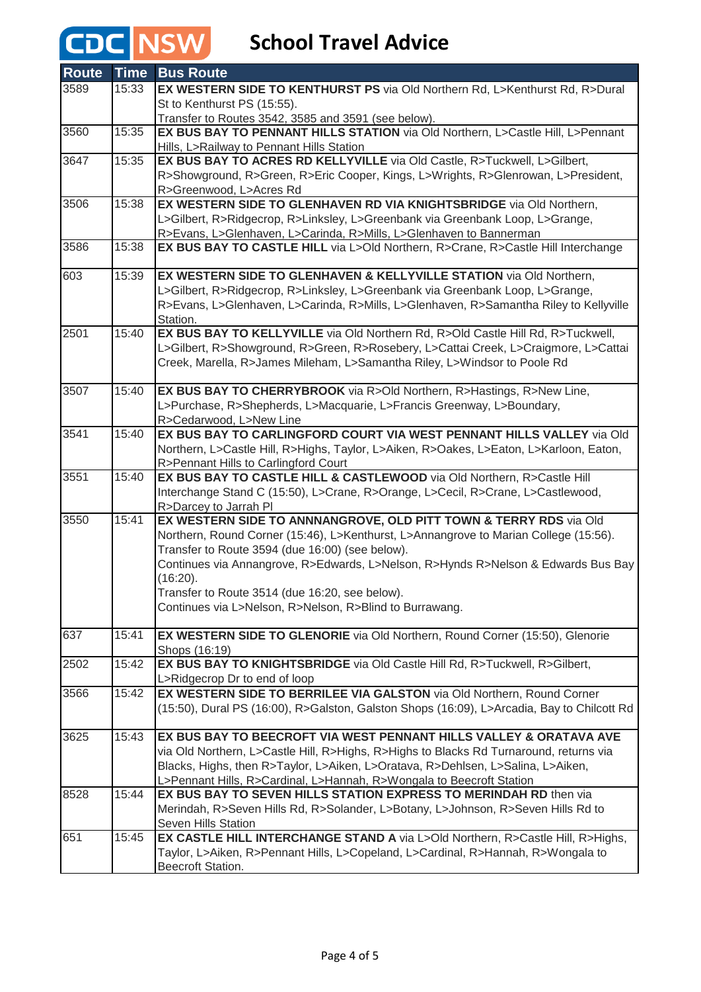## CDC NSW

### **School Travel Advice**

| <b>Route</b> | <b>Time</b> | <b>Bus Route</b>                                                                                                                                    |
|--------------|-------------|-----------------------------------------------------------------------------------------------------------------------------------------------------|
| 3589         | 15:33       | EX WESTERN SIDE TO KENTHURST PS via Old Northern Rd, L>Kenthurst Rd, R>Dural                                                                        |
|              |             | St to Kenthurst PS (15:55).                                                                                                                         |
|              |             | Transfer to Routes 3542, 3585 and 3591 (see below).                                                                                                 |
| 3560         | 15:35       | EX BUS BAY TO PENNANT HILLS STATION via Old Northern, L>Castle Hill, L>Pennant                                                                      |
|              |             | Hills, L>Railway to Pennant Hills Station                                                                                                           |
| 3647         | 15:35       | EX BUS BAY TO ACRES RD KELLYVILLE via Old Castle, R>Tuckwell, L>Gilbert,                                                                            |
|              |             | R>Showground, R>Green, R>Eric Cooper, Kings, L>Wrights, R>Glenrowan, L>President,                                                                   |
|              |             | R>Greenwood, L>Acres Rd                                                                                                                             |
| 3506         | 15:38       | EX WESTERN SIDE TO GLENHAVEN RD VIA KNIGHTSBRIDGE via Old Northern,                                                                                 |
|              |             | L>Gilbert, R>Ridgecrop, R>Linksley, L>Greenbank via Greenbank Loop, L>Grange,<br>R>Evans, L>Glenhaven, L>Carinda, R>Mills, L>Glenhaven to Bannerman |
| 3586         | 15:38       | EX BUS BAY TO CASTLE HILL via L>Old Northern, R>Crane, R>Castle Hill Interchange                                                                    |
|              |             |                                                                                                                                                     |
| 603          | 15:39       | EX WESTERN SIDE TO GLENHAVEN & KELLYVILLE STATION via Old Northern,                                                                                 |
|              |             | L>Gilbert, R>Ridgecrop, R>Linksley, L>Greenbank via Greenbank Loop, L>Grange,                                                                       |
|              |             | R>Evans, L>Glenhaven, L>Carinda, R>Mills, L>Glenhaven, R>Samantha Riley to Kellyville                                                               |
|              |             | Station.                                                                                                                                            |
| 2501         | 15:40       | EX BUS BAY TO KELLYVILLE via Old Northern Rd, R>Old Castle Hill Rd, R>Tuckwell,                                                                     |
|              |             | L>Gilbert, R>Showground, R>Green, R>Rosebery, L>Cattai Creek, L>Craigmore, L>Cattai                                                                 |
|              |             | Creek, Marella, R>James Mileham, L>Samantha Riley, L>Windsor to Poole Rd                                                                            |
|              |             |                                                                                                                                                     |
| 3507         | 15:40       | EX BUS BAY TO CHERRYBROOK via R>Old Northern, R>Hastings, R>New Line,                                                                               |
|              |             | L>Purchase, R>Shepherds, L>Macquarie, L>Francis Greenway, L>Boundary,                                                                               |
| 3541         | 15:40       | R>Cedarwood, L>New Line<br>EX BUS BAY TO CARLINGFORD COURT VIA WEST PENNANT HILLS VALLEY via Old                                                    |
|              |             |                                                                                                                                                     |
|              |             | Northern, L>Castle Hill, R>Highs, Taylor, L>Aiken, R>Oakes, L>Eaton, L>Karloon, Eaton,<br>R>Pennant Hills to Carlingford Court                      |
| 3551         | 15:40       | EX BUS BAY TO CASTLE HILL & CASTLEWOOD via Old Northern, R>Castle Hill                                                                              |
|              |             | Interchange Stand C (15:50), L>Crane, R>Orange, L>Cecil, R>Crane, L>Castlewood,                                                                     |
|              |             | R>Darcey to Jarrah Pl                                                                                                                               |
| 3550         | 15:41       | EX WESTERN SIDE TO ANNNANGROVE, OLD PITT TOWN & TERRY RDS via Old                                                                                   |
|              |             | Northern, Round Corner (15:46), L>Kenthurst, L>Annangrove to Marian College (15:56).                                                                |
|              |             | Transfer to Route 3594 (due 16:00) (see below).                                                                                                     |
|              |             | Continues via Annangrove, R>Edwards, L>Nelson, R>Hynds R>Nelson & Edwards Bus Bay                                                                   |
|              |             | (16:20).                                                                                                                                            |
|              |             | Transfer to Route 3514 (due 16:20, see below).                                                                                                      |
|              |             | Continues via L>Nelson, R>Nelson, R>Blind to Burrawang.                                                                                             |
| 637          | 15:41       | EX WESTERN SIDE TO GLENORIE via Old Northern, Round Corner (15:50), Glenorie                                                                        |
|              |             | Shops (16:19)                                                                                                                                       |
| 2502         | 15:42       | EX BUS BAY TO KNIGHTSBRIDGE via Old Castle Hill Rd, R>Tuckwell, R>Gilbert,                                                                          |
|              |             | L>Ridgecrop Dr to end of loop                                                                                                                       |
| 3566         | 15:42       | EX WESTERN SIDE TO BERRILEE VIA GALSTON via Old Northern, Round Corner                                                                              |
|              |             | (15:50), Dural PS (16:00), R>Galston, Galston Shops (16:09), L>Arcadia, Bay to Chilcott Rd                                                          |
|              |             |                                                                                                                                                     |
| 3625         | 15:43       | EX BUS BAY TO BEECROFT VIA WEST PENNANT HILLS VALLEY & ORATAVA AVE                                                                                  |
|              |             | via Old Northern, L>Castle Hill, R>Highs, R>Highs to Blacks Rd Turnaround, returns via                                                              |
|              |             | Blacks, Highs, then R>Taylor, L>Aiken, L>Oratava, R>Dehlsen, L>Salina, L>Aiken,                                                                     |
|              |             | L>Pennant Hills, R>Cardinal, L>Hannah, R>Wongala to Beecroft Station                                                                                |
| 8528         | 15:44       | EX BUS BAY TO SEVEN HILLS STATION EXPRESS TO MERINDAH RD then via                                                                                   |
|              |             | Merindah, R>Seven Hills Rd, R>Solander, L>Botany, L>Johnson, R>Seven Hills Rd to                                                                    |
|              |             | Seven Hills Station                                                                                                                                 |
| 651          | 15:45       | EX CASTLE HILL INTERCHANGE STAND A via L>Old Northern, R>Castle Hill, R>Highs,                                                                      |
|              |             | Taylor, L>Aiken, R>Pennant Hills, L>Copeland, L>Cardinal, R>Hannah, R>Wongala to                                                                    |
|              |             | Beecroft Station.                                                                                                                                   |